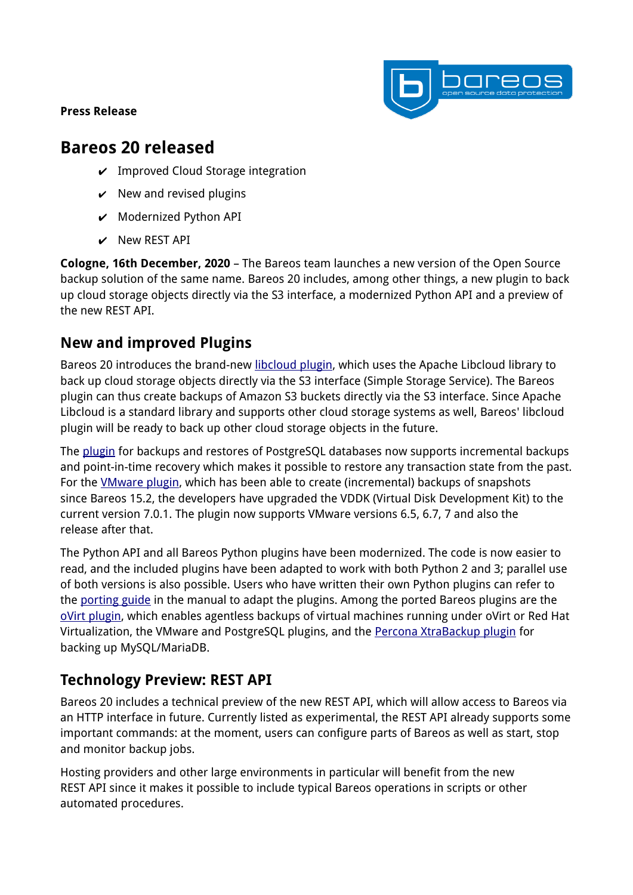**Press Release**



# **Bareos 20 released**

- $\vee$  Improved Cloud Storage integration
- $\vee$  New and revised plugins
- $\vee$  Modernized Python API
- $\vee$  New REST API

**Cologne, 16th December, 2020** – The Bareos team launches a new version of the Open Source backup solution of the same name. Bareos 20 includes, among other things, a new plugin to back up cloud storage objects directly via the S3 interface, a modernized Python API and a preview of the new REST API.

## **New and improved Plugins**

Bareos 20 introduces the brand-new libcloud plugin, which uses the Apache Libcloud library to back up cloud storage objects directly via the S3 interface (Simple Storage Service). The Bareos plugin can thus create backups of Amazon S3 buckets directly via the S3 interface. Since Apache Libcloud is a standard library and supports other cloud storage systems as well, Bareos' libcloud plugin will be ready to back up other cloud storage objects in the future.

The [plugin](https://docs.bareos.org/TasksAndConcepts/Plugins.html#postgresql-plugin) for backups and restores of PostgreSQL databases now supports incremental backups and point-in-time recovery which makes it possible to restore any transaction state from the past. For the [VMware plugin,](https://docs.bareos.org/TasksAndConcepts/Plugins.html#vmware-plugin) which has been able to create (incremental) backups of snapshots since Bareos 15.2, the developers have upgraded the VDDK (Virtual Disk Development Kit) to the current version 7.0.1. The plugin now supports VMware versions 6.5, 6.7, 7 and also the release after that.

The Python API and all Bareos Python plugins have been modernized. The code is now easier to read, and the included plugins have been adapted to work with both Python 2 and 3; parallel use of both versions is also possible. Users who have written their own Python plugins can refer to the [porting guide](https://docs.bareos.org/TasksAndConcepts/Plugins.html#modernization-of-the-python-plugin-api) in the manual to adapt the plugins. Among the ported Bareos plugins are the [oVirt plugin](https://docs.bareos.org/TasksAndConcepts/Plugins.html#ovirt-plugin), which enables agentless backups of virtual machines running under oVirt or Red Hat Virtualization, the VMware and PostgreSQL plugins, and the [Percona XtraBackup plugin](https://docs.bareos.org/TasksAndConcepts/Plugins.html#percona-xtrabackup-plugin) for backing up MySQL/MariaDB.

## **Technology Preview: REST API**

Bareos 20 includes a technical preview of the new REST API, which will allow access to Bareos via an HTTP interface in future. Currently listed as experimental, the REST API already supports some important commands: at the moment, users can configure parts of Bareos as well as start, stop and monitor backup jobs.

Hosting providers and other large environments in particular will benefit from the new REST API since it makes it possible to include typical Bareos operations in scripts or other automated procedures.